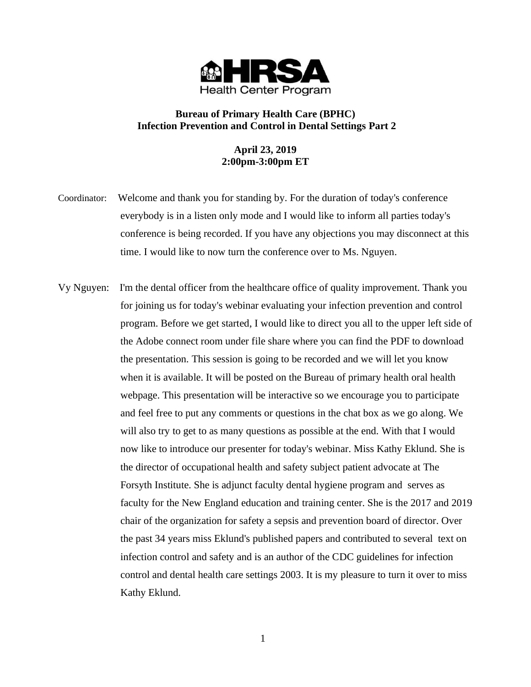

## **Bureau of Primary Health Care (BPHC) Infection Prevention and Control in Dental Settings Part 2**

## **April 23, 2019 2:00pm-3:00pm ET**

- Coordinator: Welcome and thank you for standing by. For the duration of today's conference everybody is in a listen only mode and I would like to inform all parties today's conference is being recorded. If you have any objections you may disconnect at this time. I would like to now turn the conference over to Ms. Nguyen.
- Vy Nguyen: I'm the dental officer from the healthcare office of quality improvement. Thank you for joining us for today's webinar evaluating your infection prevention and control program. Before we get started, I would like to direct you all to the upper left side of the Adobe connect room under file share where you can find the PDF to download the presentation. This session is going to be recorded and we will let you know when it is available. It will be posted on the Bureau of primary health oral health webpage. This presentation will be interactive so we encourage you to participate and feel free to put any comments or questions in the chat box as we go along. We will also try to get to as many questions as possible at the end. With that I would now like to introduce our presenter for today's webinar. Miss Kathy Eklund. She is the director of occupational health and safety subject patient advocate at The Forsyth Institute. She is adjunct faculty dental hygiene program and serves as faculty for the New England education and training center. She is the 2017 and 2019 chair of the organization for safety a sepsis and prevention board of director. Over the past 34 years miss Eklund's published papers and contributed to several text on infection control and safety and is an author of the CDC guidelines for infection control and dental health care settings 2003. It is my pleasure to turn it over to miss Kathy Eklund.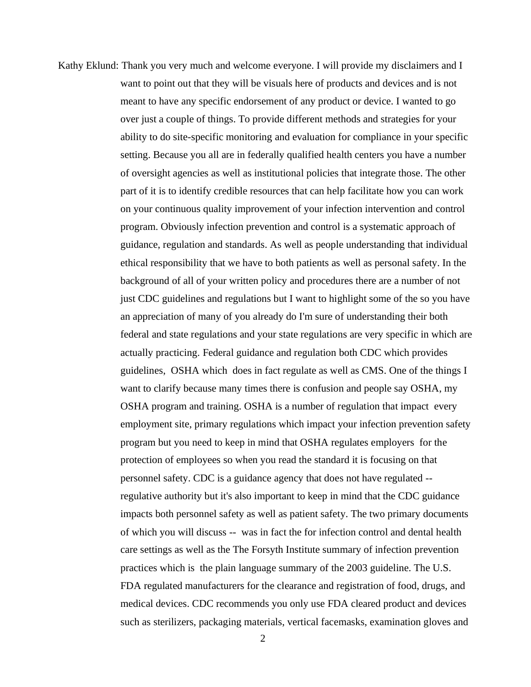Kathy Eklund: Thank you very much and welcome everyone. I will provide my disclaimers and I want to point out that they will be visuals here of products and devices and is not meant to have any specific endorsement of any product or device. I wanted to go over just a couple of things. To provide different methods and strategies for your ability to do site-specific monitoring and evaluation for compliance in your specific setting. Because you all are in federally qualified health centers you have a number of oversight agencies as well as institutional policies that integrate those. The other part of it is to identify credible resources that can help facilitate how you can work on your continuous quality improvement of your infection intervention and control program. Obviously infection prevention and control is a systematic approach of guidance, regulation and standards. As well as people understanding that individual ethical responsibility that we have to both patients as well as personal safety. In the background of all of your written policy and procedures there are a number of not just CDC guidelines and regulations but I want to highlight some of the so you have an appreciation of many of you already do I'm sure of understanding their both federal and state regulations and your state regulations are very specific in which are actually practicing. Federal guidance and regulation both CDC which provides guidelines, OSHA which does in fact regulate as well as CMS. One of the things I want to clarify because many times there is confusion and people say OSHA, my OSHA program and training. OSHA is a number of regulation that impact every employment site, primary regulations which impact your infection prevention safety program but you need to keep in mind that OSHA regulates employers for the protection of employees so when you read the standard it is focusing on that personnel safety. CDC is a guidance agency that does not have regulated - regulative authority but it's also important to keep in mind that the CDC guidance impacts both personnel safety as well as patient safety. The two primary documents of which you will discuss -- was in fact the for infection control and dental health care settings as well as the The Forsyth Institute summary of infection prevention practices which is the plain language summary of the 2003 guideline. The U.S. FDA regulated manufacturers for the clearance and registration of food, drugs, and medical devices. CDC recommends you only use FDA cleared product and devices such as sterilizers, packaging materials, vertical facemasks, examination gloves and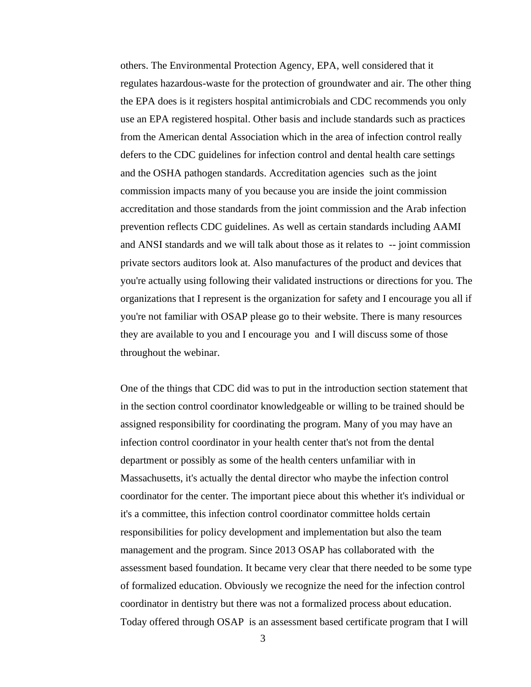others. The Environmental Protection Agency, EPA, well considered that it regulates hazardous-waste for the protection of groundwater and air. The other thing the EPA does is it registers hospital antimicrobials and CDC recommends you only use an EPA registered hospital. Other basis and include standards such as practices from the American dental Association which in the area of infection control really defers to the CDC guidelines for infection control and dental health care settings and the OSHA pathogen standards. Accreditation agencies such as the joint commission impacts many of you because you are inside the joint commission accreditation and those standards from the joint commission and the Arab infection prevention reflects CDC guidelines. As well as certain standards including AAMI and ANSI standards and we will talk about those as it relates to -- joint commission private sectors auditors look at. Also manufactures of the product and devices that you're actually using following their validated instructions or directions for you. The organizations that I represent is the organization for safety and I encourage you all if you're not familiar with OSAP please go to their website. There is many resources they are available to you and I encourage you and I will discuss some of those throughout the webinar.

One of the things that CDC did was to put in the introduction section statement that in the section control coordinator knowledgeable or willing to be trained should be assigned responsibility for coordinating the program. Many of you may have an infection control coordinator in your health center that's not from the dental department or possibly as some of the health centers unfamiliar with in Massachusetts, it's actually the dental director who maybe the infection control coordinator for the center. The important piece about this whether it's individual or it's a committee, this infection control coordinator committee holds certain responsibilities for policy development and implementation but also the team management and the program. Since 2013 OSAP has collaborated with the assessment based foundation. It became very clear that there needed to be some type of formalized education. Obviously we recognize the need for the infection control coordinator in dentistry but there was not a formalized process about education. Today offered through OSAP is an assessment based certificate program that I will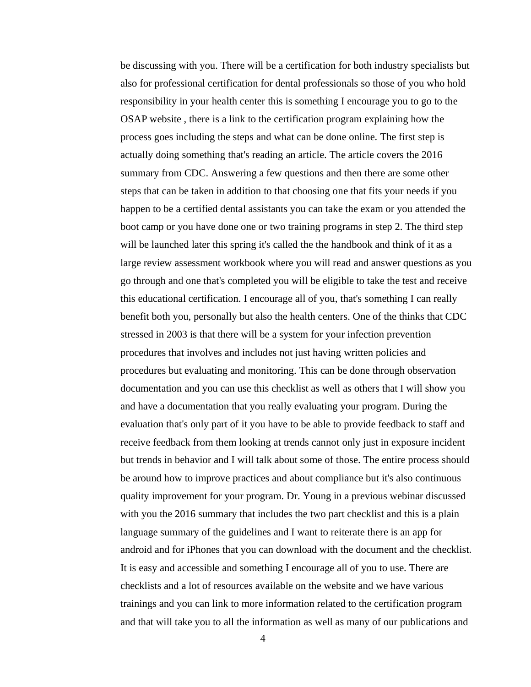be discussing with you. There will be a certification for both industry specialists but also for professional certification for dental professionals so those of you who hold responsibility in your health center this is something I encourage you to go to the OSAP website , there is a link to the certification program explaining how the process goes including the steps and what can be done online. The first step is actually doing something that's reading an article. The article covers the 2016 summary from CDC. Answering a few questions and then there are some other steps that can be taken in addition to that choosing one that fits your needs if you happen to be a certified dental assistants you can take the exam or you attended the boot camp or you have done one or two training programs in step 2. The third step will be launched later this spring it's called the the handbook and think of it as a large review assessment workbook where you will read and answer questions as you go through and one that's completed you will be eligible to take the test and receive this educational certification. I encourage all of you, that's something I can really benefit both you, personally but also the health centers. One of the thinks that CDC stressed in 2003 is that there will be a system for your infection prevention procedures that involves and includes not just having written policies and procedures but evaluating and monitoring. This can be done through observation documentation and you can use this checklist as well as others that I will show you and have a documentation that you really evaluating your program. During the evaluation that's only part of it you have to be able to provide feedback to staff and receive feedback from them looking at trends cannot only just in exposure incident but trends in behavior and I will talk about some of those. The entire process should be around how to improve practices and about compliance but it's also continuous quality improvement for your program. Dr. Young in a previous webinar discussed with you the 2016 summary that includes the two part checklist and this is a plain language summary of the guidelines and I want to reiterate there is an app for android and for iPhones that you can download with the document and the checklist. It is easy and accessible and something I encourage all of you to use. There are checklists and a lot of resources available on the website and we have various trainings and you can link to more information related to the certification program and that will take you to all the information as well as many of our publications and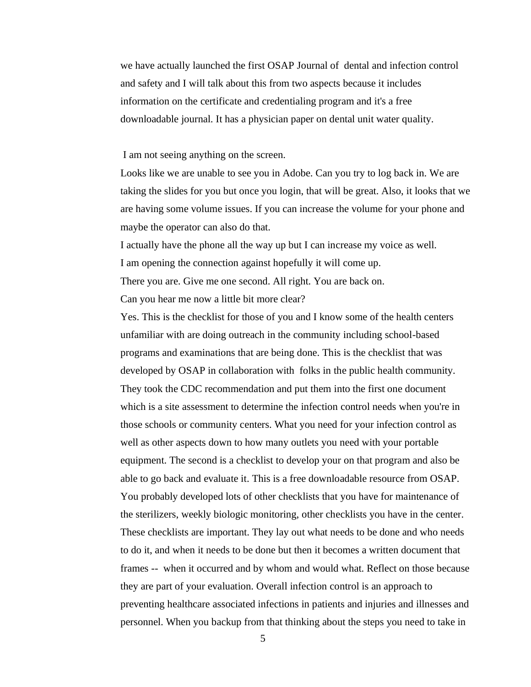we have actually launched the first OSAP Journal of dental and infection control and safety and I will talk about this from two aspects because it includes information on the certificate and credentialing program and it's a free downloadable journal. It has a physician paper on dental unit water quality.

I am not seeing anything on the screen.

Looks like we are unable to see you in Adobe. Can you try to log back in. We are taking the slides for you but once you login, that will be great. Also, it looks that we are having some volume issues. If you can increase the volume for your phone and maybe the operator can also do that.

I actually have the phone all the way up but I can increase my voice as well. I am opening the connection against hopefully it will come up. There you are. Give me one second. All right. You are back on. Can you hear me now a little bit more clear?

Yes. This is the checklist for those of you and I know some of the health centers unfamiliar with are doing outreach in the community including school-based programs and examinations that are being done. This is the checklist that was developed by OSAP in collaboration with folks in the public health community. They took the CDC recommendation and put them into the first one document which is a site assessment to determine the infection control needs when you're in those schools or community centers. What you need for your infection control as well as other aspects down to how many outlets you need with your portable equipment. The second is a checklist to develop your on that program and also be able to go back and evaluate it. This is a free downloadable resource from OSAP. You probably developed lots of other checklists that you have for maintenance of the sterilizers, weekly biologic monitoring, other checklists you have in the center. These checklists are important. They lay out what needs to be done and who needs to do it, and when it needs to be done but then it becomes a written document that frames -- when it occurred and by whom and would what. Reflect on those because they are part of your evaluation. Overall infection control is an approach to preventing healthcare associated infections in patients and injuries and illnesses and personnel. When you backup from that thinking about the steps you need to take in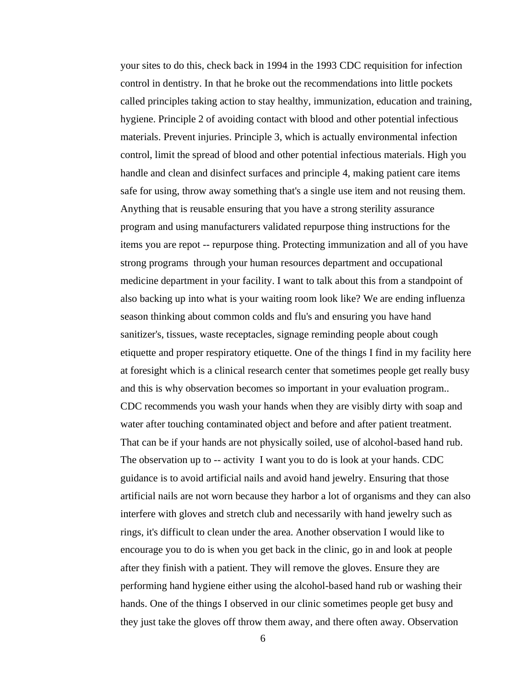your sites to do this, check back in 1994 in the 1993 CDC requisition for infection control in dentistry. In that he broke out the recommendations into little pockets called principles taking action to stay healthy, immunization, education and training, hygiene. Principle 2 of avoiding contact with blood and other potential infectious materials. Prevent injuries. Principle 3, which is actually environmental infection control, limit the spread of blood and other potential infectious materials. High you handle and clean and disinfect surfaces and principle 4, making patient care items safe for using, throw away something that's a single use item and not reusing them. Anything that is reusable ensuring that you have a strong sterility assurance program and using manufacturers validated repurpose thing instructions for the items you are repot -- repurpose thing. Protecting immunization and all of you have strong programs through your human resources department and occupational medicine department in your facility. I want to talk about this from a standpoint of also backing up into what is your waiting room look like? We are ending influenza season thinking about common colds and flu's and ensuring you have hand sanitizer's, tissues, waste receptacles, signage reminding people about cough etiquette and proper respiratory etiquette. One of the things I find in my facility here at foresight which is a clinical research center that sometimes people get really busy and this is why observation becomes so important in your evaluation program.. CDC recommends you wash your hands when they are visibly dirty with soap and water after touching contaminated object and before and after patient treatment. That can be if your hands are not physically soiled, use of alcohol-based hand rub. The observation up to -- activity I want you to do is look at your hands. CDC guidance is to avoid artificial nails and avoid hand jewelry. Ensuring that those artificial nails are not worn because they harbor a lot of organisms and they can also interfere with gloves and stretch club and necessarily with hand jewelry such as rings, it's difficult to clean under the area. Another observation I would like to encourage you to do is when you get back in the clinic, go in and look at people after they finish with a patient. They will remove the gloves. Ensure they are performing hand hygiene either using the alcohol-based hand rub or washing their hands. One of the things I observed in our clinic sometimes people get busy and they just take the gloves off throw them away, and there often away. Observation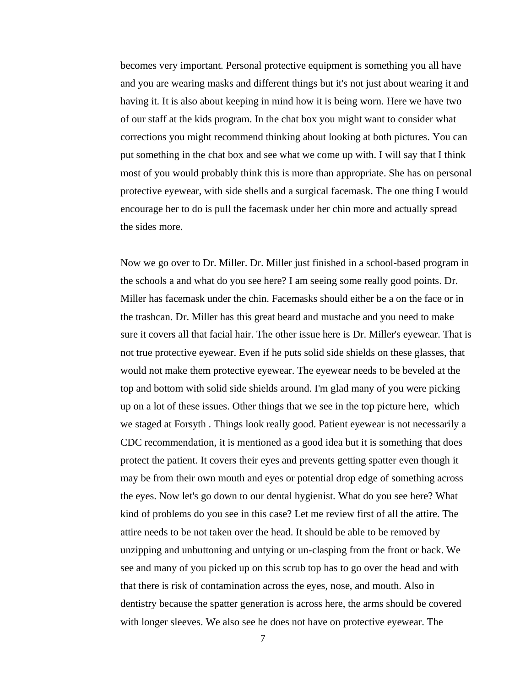becomes very important. Personal protective equipment is something you all have and you are wearing masks and different things but it's not just about wearing it and having it. It is also about keeping in mind how it is being worn. Here we have two of our staff at the kids program. In the chat box you might want to consider what corrections you might recommend thinking about looking at both pictures. You can put something in the chat box and see what we come up with. I will say that I think most of you would probably think this is more than appropriate. She has on personal protective eyewear, with side shells and a surgical facemask. The one thing I would encourage her to do is pull the facemask under her chin more and actually spread the sides more.

Now we go over to Dr. Miller. Dr. Miller just finished in a school-based program in the schools a and what do you see here? I am seeing some really good points. Dr. Miller has facemask under the chin. Facemasks should either be a on the face or in the trashcan. Dr. Miller has this great beard and mustache and you need to make sure it covers all that facial hair. The other issue here is Dr. Miller's eyewear. That is not true protective eyewear. Even if he puts solid side shields on these glasses, that would not make them protective eyewear. The eyewear needs to be beveled at the top and bottom with solid side shields around. I'm glad many of you were picking up on a lot of these issues. Other things that we see in the top picture here, which we staged at Forsyth . Things look really good. Patient eyewear is not necessarily a CDC recommendation, it is mentioned as a good idea but it is something that does protect the patient. It covers their eyes and prevents getting spatter even though it may be from their own mouth and eyes or potential drop edge of something across the eyes. Now let's go down to our dental hygienist. What do you see here? What kind of problems do you see in this case? Let me review first of all the attire. The attire needs to be not taken over the head. It should be able to be removed by unzipping and unbuttoning and untying or un-clasping from the front or back. We see and many of you picked up on this scrub top has to go over the head and with that there is risk of contamination across the eyes, nose, and mouth. Also in dentistry because the spatter generation is across here, the arms should be covered with longer sleeves. We also see he does not have on protective eyewear. The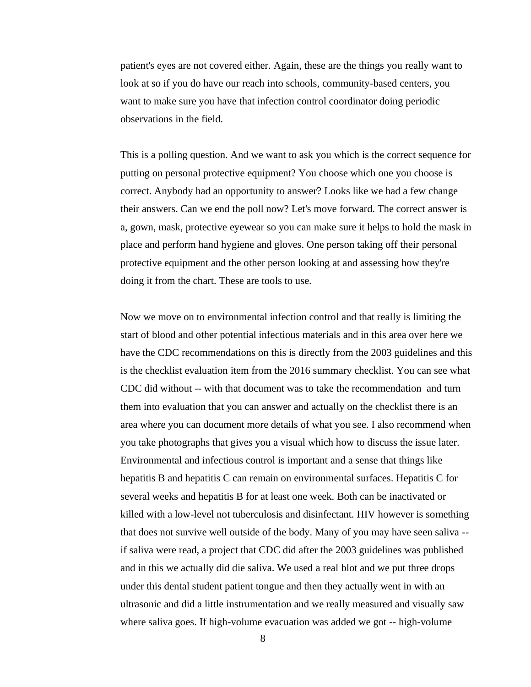patient's eyes are not covered either. Again, these are the things you really want to look at so if you do have our reach into schools, community-based centers, you want to make sure you have that infection control coordinator doing periodic observations in the field.

This is a polling question. And we want to ask you which is the correct sequence for putting on personal protective equipment? You choose which one you choose is correct. Anybody had an opportunity to answer? Looks like we had a few change their answers. Can we end the poll now? Let's move forward. The correct answer is a, gown, mask, protective eyewear so you can make sure it helps to hold the mask in place and perform hand hygiene and gloves. One person taking off their personal protective equipment and the other person looking at and assessing how they're doing it from the chart. These are tools to use.

Now we move on to environmental infection control and that really is limiting the start of blood and other potential infectious materials and in this area over here we have the CDC recommendations on this is directly from the 2003 guidelines and this is the checklist evaluation item from the 2016 summary checklist. You can see what CDC did without -- with that document was to take the recommendation and turn them into evaluation that you can answer and actually on the checklist there is an area where you can document more details of what you see. I also recommend when you take photographs that gives you a visual which how to discuss the issue later. Environmental and infectious control is important and a sense that things like hepatitis B and hepatitis C can remain on environmental surfaces. Hepatitis C for several weeks and hepatitis B for at least one week. Both can be inactivated or killed with a low-level not tuberculosis and disinfectant. HIV however is something that does not survive well outside of the body. Many of you may have seen saliva - if saliva were read, a project that CDC did after the 2003 guidelines was published and in this we actually did die saliva. We used a real blot and we put three drops under this dental student patient tongue and then they actually went in with an ultrasonic and did a little instrumentation and we really measured and visually saw where saliva goes. If high-volume evacuation was added we got -- high-volume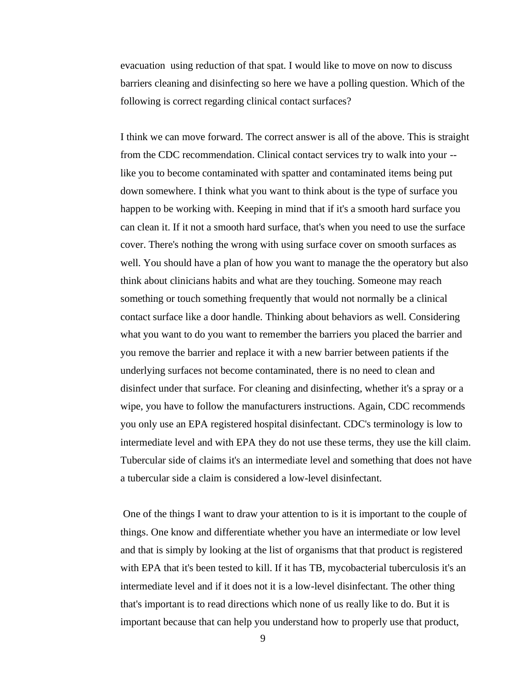evacuation using reduction of that spat. I would like to move on now to discuss barriers cleaning and disinfecting so here we have a polling question. Which of the following is correct regarding clinical contact surfaces?

I think we can move forward. The correct answer is all of the above. This is straight from the CDC recommendation. Clinical contact services try to walk into your - like you to become contaminated with spatter and contaminated items being put down somewhere. I think what you want to think about is the type of surface you happen to be working with. Keeping in mind that if it's a smooth hard surface you can clean it. If it not a smooth hard surface, that's when you need to use the surface cover. There's nothing the wrong with using surface cover on smooth surfaces as well. You should have a plan of how you want to manage the the operatory but also think about clinicians habits and what are they touching. Someone may reach something or touch something frequently that would not normally be a clinical contact surface like a door handle. Thinking about behaviors as well. Considering what you want to do you want to remember the barriers you placed the barrier and you remove the barrier and replace it with a new barrier between patients if the underlying surfaces not become contaminated, there is no need to clean and disinfect under that surface. For cleaning and disinfecting, whether it's a spray or a wipe, you have to follow the manufacturers instructions. Again, CDC recommends you only use an EPA registered hospital disinfectant. CDC's terminology is low to intermediate level and with EPA they do not use these terms, they use the kill claim. Tubercular side of claims it's an intermediate level and something that does not have a tubercular side a claim is considered a low-level disinfectant.

One of the things I want to draw your attention to is it is important to the couple of things. One know and differentiate whether you have an intermediate or low level and that is simply by looking at the list of organisms that that product is registered with EPA that it's been tested to kill. If it has TB, mycobacterial tuberculosis it's an intermediate level and if it does not it is a low-level disinfectant. The other thing that's important is to read directions which none of us really like to do. But it is important because that can help you understand how to properly use that product,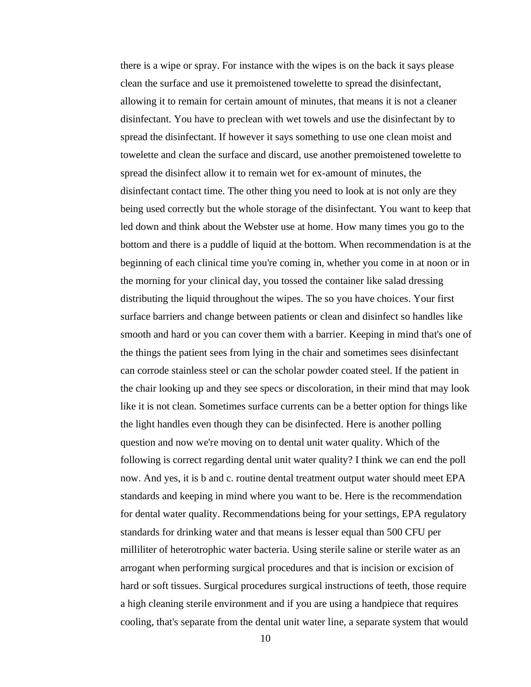there is a wipe or spray. For instance with the wipes is on the back it says please clean the surface and use it premoistened towelette to spread the disinfectant, allowing it to remain for certain amount of minutes, that means it is not a cleaner disinfectant. You have to preclean with wet towels and use the disinfectant by to spread the disinfectant. If however it says something to use one clean moist and towelette and clean the surface and discard, use another premoistened towelette to spread the disinfect allow it to remain wet for ex-amount of minutes, the disinfectant contact time. The other thing you need to look at is not only are they being used correctly but the whole storage of the disinfectant. You want to keep that led down and think about the Webster use at home. How many times you go to the bottom and there is a puddle of liquid at the bottom. When recommendation is at the beginning of each clinical time you're coming in, whether you come in at noon or in the morning for your clinical day, you tossed the container like salad dressing distributing the liquid throughout the wipes. The so you have choices. Your first surface barriers and change between patients or clean and disinfect so handles like smooth and hard or you can cover them with a barrier. Keeping in mind that's one of the things the patient sees from lying in the chair and sometimes sees disinfectant can corrode stainless steel or can the scholar powder coated steel. If the patient in the chair looking up and they see specs or discoloration, in their mind that may look like it is not clean. Sometimes surface currents can be a better option for things like the light handles even though they can be disinfected. Here is another polling question and now we're moving on to dental unit water quality. Which of the following is correct regarding dental unit water quality? I think we can end the poll now. And yes, it is b and c. routine dental treatment output water should meet EPA standards and keeping in mind where you want to be. Here is the recommendation for dental water quality. Recommendations being for your settings, EPA regulatory standards for drinking water and that means is lesser equal than 500 CFU per milliliter of heterotrophic water bacteria. Using sterile saline or sterile water as an arrogant when performing surgical procedures and that is incision or excision of hard or soft tissues. Surgical procedures surgical instructions of teeth, those require a high cleaning sterile environment and if you are using a handpiece that requires cooling, that's separate from the dental unit water line, a separate system that would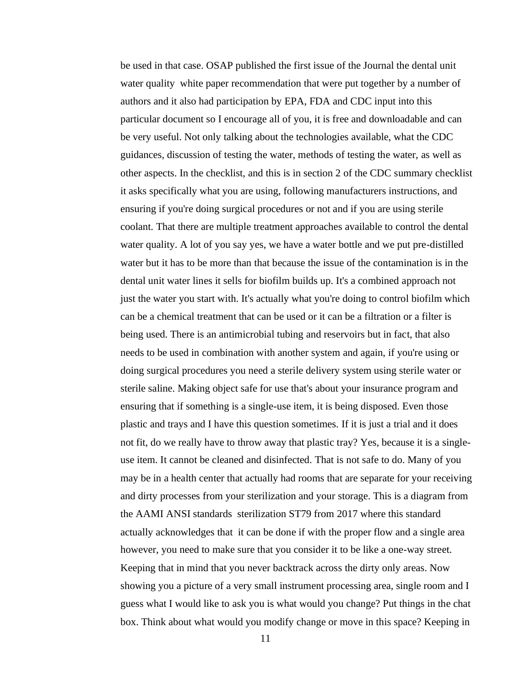be used in that case. OSAP published the first issue of the Journal the dental unit water quality white paper recommendation that were put together by a number of authors and it also had participation by EPA, FDA and CDC input into this particular document so I encourage all of you, it is free and downloadable and can be very useful. Not only talking about the technologies available, what the CDC guidances, discussion of testing the water, methods of testing the water, as well as other aspects. In the checklist, and this is in section 2 of the CDC summary checklist it asks specifically what you are using, following manufacturers instructions, and ensuring if you're doing surgical procedures or not and if you are using sterile coolant. That there are multiple treatment approaches available to control the dental water quality. A lot of you say yes, we have a water bottle and we put pre-distilled water but it has to be more than that because the issue of the contamination is in the dental unit water lines it sells for biofilm builds up. It's a combined approach not just the water you start with. It's actually what you're doing to control biofilm which can be a chemical treatment that can be used or it can be a filtration or a filter is being used. There is an antimicrobial tubing and reservoirs but in fact, that also needs to be used in combination with another system and again, if you're using or doing surgical procedures you need a sterile delivery system using sterile water or sterile saline. Making object safe for use that's about your insurance program and ensuring that if something is a single-use item, it is being disposed. Even those plastic and trays and I have this question sometimes. If it is just a trial and it does not fit, do we really have to throw away that plastic tray? Yes, because it is a singleuse item. It cannot be cleaned and disinfected. That is not safe to do. Many of you may be in a health center that actually had rooms that are separate for your receiving and dirty processes from your sterilization and your storage. This is a diagram from the AAMI ANSI standards sterilization ST79 from 2017 where this standard actually acknowledges that it can be done if with the proper flow and a single area however, you need to make sure that you consider it to be like a one-way street. Keeping that in mind that you never backtrack across the dirty only areas. Now showing you a picture of a very small instrument processing area, single room and I guess what I would like to ask you is what would you change? Put things in the chat box. Think about what would you modify change or move in this space? Keeping in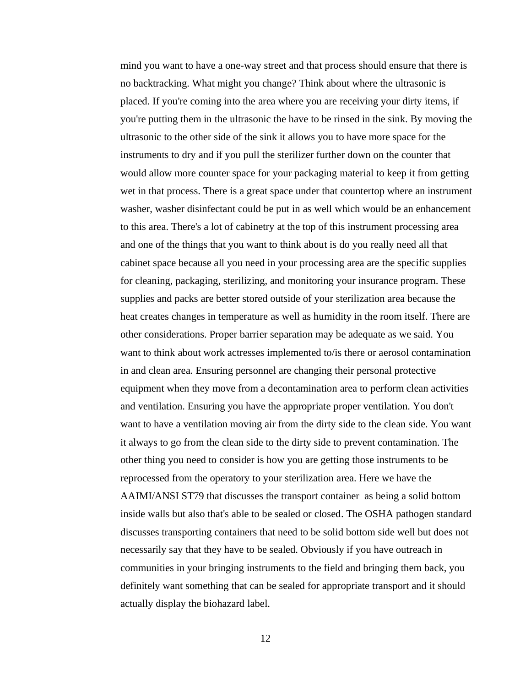mind you want to have a one-way street and that process should ensure that there is no backtracking. What might you change? Think about where the ultrasonic is placed. If you're coming into the area where you are receiving your dirty items, if you're putting them in the ultrasonic the have to be rinsed in the sink. By moving the ultrasonic to the other side of the sink it allows you to have more space for the instruments to dry and if you pull the sterilizer further down on the counter that would allow more counter space for your packaging material to keep it from getting wet in that process. There is a great space under that countertop where an instrument washer, washer disinfectant could be put in as well which would be an enhancement to this area. There's a lot of cabinetry at the top of this instrument processing area and one of the things that you want to think about is do you really need all that cabinet space because all you need in your processing area are the specific supplies for cleaning, packaging, sterilizing, and monitoring your insurance program. These supplies and packs are better stored outside of your sterilization area because the heat creates changes in temperature as well as humidity in the room itself. There are other considerations. Proper barrier separation may be adequate as we said. You want to think about work actresses implemented to/is there or aerosol contamination in and clean area. Ensuring personnel are changing their personal protective equipment when they move from a decontamination area to perform clean activities and ventilation. Ensuring you have the appropriate proper ventilation. You don't want to have a ventilation moving air from the dirty side to the clean side. You want it always to go from the clean side to the dirty side to prevent contamination. The other thing you need to consider is how you are getting those instruments to be reprocessed from the operatory to your sterilization area. Here we have the AAIMI/ANSI ST79 that discusses the transport container as being a solid bottom inside walls but also that's able to be sealed or closed. The OSHA pathogen standard discusses transporting containers that need to be solid bottom side well but does not necessarily say that they have to be sealed. Obviously if you have outreach in communities in your bringing instruments to the field and bringing them back, you definitely want something that can be sealed for appropriate transport and it should actually display the biohazard label.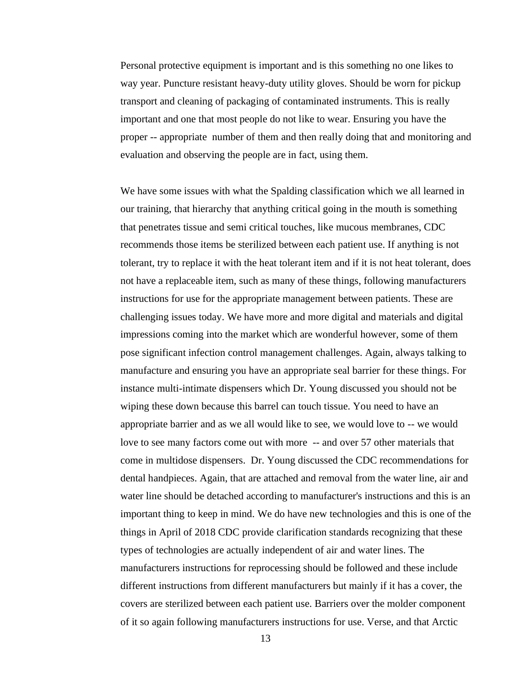Personal protective equipment is important and is this something no one likes to way year. Puncture resistant heavy-duty utility gloves. Should be worn for pickup transport and cleaning of packaging of contaminated instruments. This is really important and one that most people do not like to wear. Ensuring you have the proper -- appropriate number of them and then really doing that and monitoring and evaluation and observing the people are in fact, using them.

We have some issues with what the Spalding classification which we all learned in our training, that hierarchy that anything critical going in the mouth is something that penetrates tissue and semi critical touches, like mucous membranes, CDC recommends those items be sterilized between each patient use. If anything is not tolerant, try to replace it with the heat tolerant item and if it is not heat tolerant, does not have a replaceable item, such as many of these things, following manufacturers instructions for use for the appropriate management between patients. These are challenging issues today. We have more and more digital and materials and digital impressions coming into the market which are wonderful however, some of them pose significant infection control management challenges. Again, always talking to manufacture and ensuring you have an appropriate seal barrier for these things. For instance multi-intimate dispensers which Dr. Young discussed you should not be wiping these down because this barrel can touch tissue. You need to have an appropriate barrier and as we all would like to see, we would love to -- we would love to see many factors come out with more -- and over 57 other materials that come in multidose dispensers. Dr. Young discussed the CDC recommendations for dental handpieces. Again, that are attached and removal from the water line, air and water line should be detached according to manufacturer's instructions and this is an important thing to keep in mind. We do have new technologies and this is one of the things in April of 2018 CDC provide clarification standards recognizing that these types of technologies are actually independent of air and water lines. The manufacturers instructions for reprocessing should be followed and these include different instructions from different manufacturers but mainly if it has a cover, the covers are sterilized between each patient use. Barriers over the molder component of it so again following manufacturers instructions for use. Verse, and that Arctic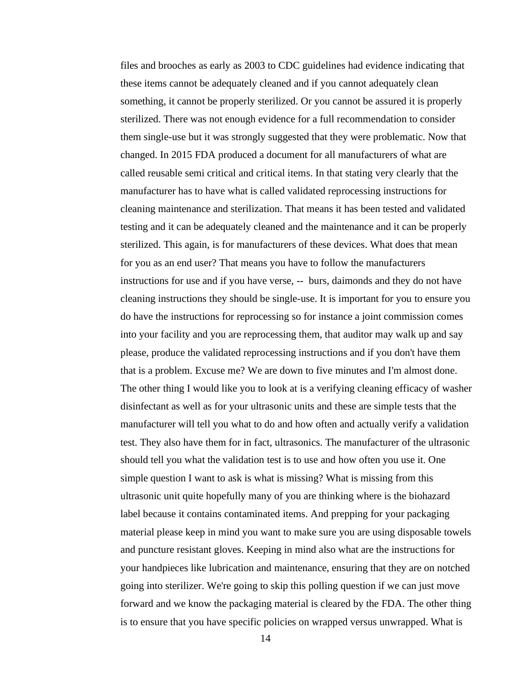files and brooches as early as 2003 to CDC guidelines had evidence indicating that these items cannot be adequately cleaned and if you cannot adequately clean something, it cannot be properly sterilized. Or you cannot be assured it is properly sterilized. There was not enough evidence for a full recommendation to consider them single-use but it was strongly suggested that they were problematic. Now that changed. In 2015 FDA produced a document for all manufacturers of what are called reusable semi critical and critical items. In that stating very clearly that the manufacturer has to have what is called validated reprocessing instructions for cleaning maintenance and sterilization. That means it has been tested and validated testing and it can be adequately cleaned and the maintenance and it can be properly sterilized. This again, is for manufacturers of these devices. What does that mean for you as an end user? That means you have to follow the manufacturers instructions for use and if you have verse, -- burs, daimonds and they do not have cleaning instructions they should be single-use. It is important for you to ensure you do have the instructions for reprocessing so for instance a joint commission comes into your facility and you are reprocessing them, that auditor may walk up and say please, produce the validated reprocessing instructions and if you don't have them that is a problem. Excuse me? We are down to five minutes and I'm almost done. The other thing I would like you to look at is a verifying cleaning efficacy of washer disinfectant as well as for your ultrasonic units and these are simple tests that the manufacturer will tell you what to do and how often and actually verify a validation test. They also have them for in fact, ultrasonics. The manufacturer of the ultrasonic should tell you what the validation test is to use and how often you use it. One simple question I want to ask is what is missing? What is missing from this ultrasonic unit quite hopefully many of you are thinking where is the biohazard label because it contains contaminated items. And prepping for your packaging material please keep in mind you want to make sure you are using disposable towels and puncture resistant gloves. Keeping in mind also what are the instructions for your handpieces like lubrication and maintenance, ensuring that they are on notched going into sterilizer. We're going to skip this polling question if we can just move forward and we know the packaging material is cleared by the FDA. The other thing is to ensure that you have specific policies on wrapped versus unwrapped. What is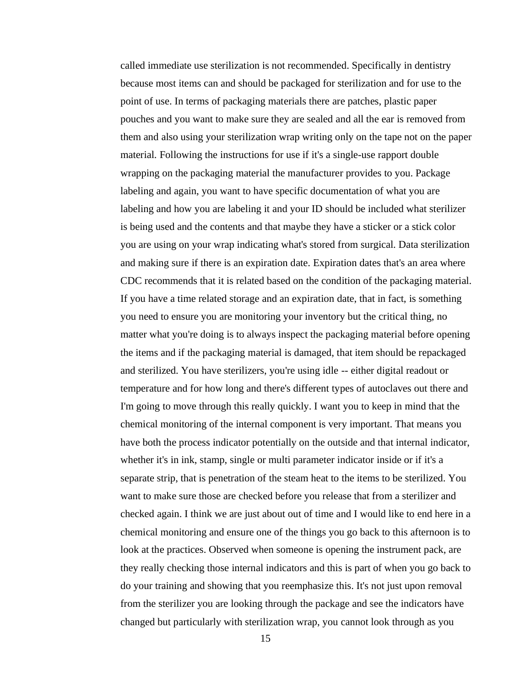called immediate use sterilization is not recommended. Specifically in dentistry because most items can and should be packaged for sterilization and for use to the point of use. In terms of packaging materials there are patches, plastic paper pouches and you want to make sure they are sealed and all the ear is removed from them and also using your sterilization wrap writing only on the tape not on the paper material. Following the instructions for use if it's a single-use rapport double wrapping on the packaging material the manufacturer provides to you. Package labeling and again, you want to have specific documentation of what you are labeling and how you are labeling it and your ID should be included what sterilizer is being used and the contents and that maybe they have a sticker or a stick color you are using on your wrap indicating what's stored from surgical. Data sterilization and making sure if there is an expiration date. Expiration dates that's an area where CDC recommends that it is related based on the condition of the packaging material. If you have a time related storage and an expiration date, that in fact, is something you need to ensure you are monitoring your inventory but the critical thing, no matter what you're doing is to always inspect the packaging material before opening the items and if the packaging material is damaged, that item should be repackaged and sterilized. You have sterilizers, you're using idle -- either digital readout or temperature and for how long and there's different types of autoclaves out there and I'm going to move through this really quickly. I want you to keep in mind that the chemical monitoring of the internal component is very important. That means you have both the process indicator potentially on the outside and that internal indicator, whether it's in ink, stamp, single or multi parameter indicator inside or if it's a separate strip, that is penetration of the steam heat to the items to be sterilized. You want to make sure those are checked before you release that from a sterilizer and checked again. I think we are just about out of time and I would like to end here in a chemical monitoring and ensure one of the things you go back to this afternoon is to look at the practices. Observed when someone is opening the instrument pack, are they really checking those internal indicators and this is part of when you go back to do your training and showing that you reemphasize this. It's not just upon removal from the sterilizer you are looking through the package and see the indicators have changed but particularly with sterilization wrap, you cannot look through as you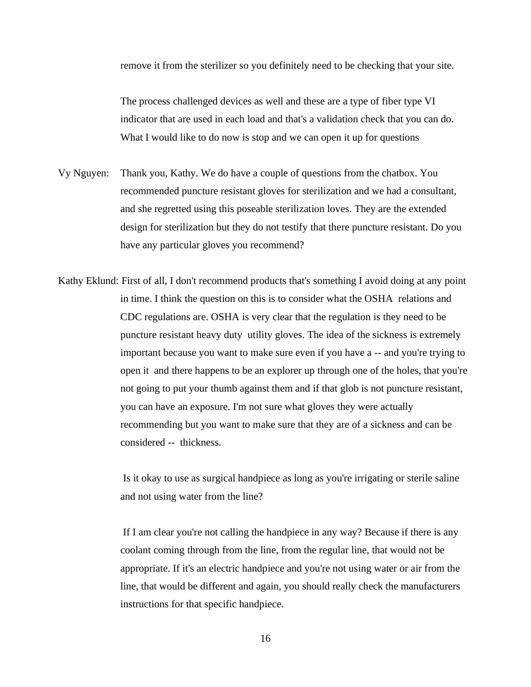remove it from the sterilizer so you definitely need to be checking that your site.

The process challenged devices as well and these are a type of fiber type VI indicator that are used in each load and that's a validation check that you can do. What I would like to do now is stop and we can open it up for questions

- Vy Nguyen: Thank you, Kathy. We do have a couple of questions from the chatbox. You recommended puncture resistant gloves for sterilization and we had a consultant, and she regretted using this poseable sterilization loves. They are the extended design for sterilization but they do not testify that there puncture resistant. Do you have any particular gloves you recommend?
- Kathy Eklund: First of all, I don't recommend products that's something I avoid doing at any point in time. I think the question on this is to consider what the OSHA relations and CDC regulations are. OSHA is very clear that the regulation is they need to be puncture resistant heavy duty utility gloves. The idea of the sickness is extremely important because you want to make sure even if you have a -- and you're trying to open it and there happens to be an explorer up through one of the holes, that you're not going to put your thumb against them and if that glob is not puncture resistant, you can have an exposure. I'm not sure what gloves they were actually recommending but you want to make sure that they are of a sickness and can be considered -- thickness.

Is it okay to use as surgical handpiece as long as you're irrigating or sterile saline and not using water from the line?

If I am clear you're not calling the handpiece in any way? Because if there is any coolant coming through from the line, from the regular line, that would not be appropriate. If it's an electric handpiece and you're not using water or air from the line, that would be different and again, you should really check the manufacturers instructions for that specific handpiece.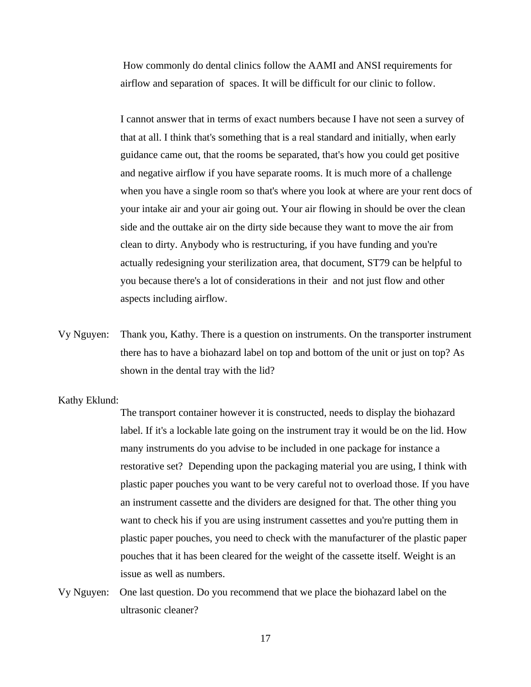How commonly do dental clinics follow the AAMI and ANSI requirements for airflow and separation of spaces. It will be difficult for our clinic to follow.

I cannot answer that in terms of exact numbers because I have not seen a survey of that at all. I think that's something that is a real standard and initially, when early guidance came out, that the rooms be separated, that's how you could get positive and negative airflow if you have separate rooms. It is much more of a challenge when you have a single room so that's where you look at where are your rent docs of your intake air and your air going out. Your air flowing in should be over the clean side and the outtake air on the dirty side because they want to move the air from clean to dirty. Anybody who is restructuring, if you have funding and you're actually redesigning your sterilization area, that document, ST79 can be helpful to you because there's a lot of considerations in their and not just flow and other aspects including airflow.

Vy Nguyen: Thank you, Kathy. There is a question on instruments. On the transporter instrument there has to have a biohazard label on top and bottom of the unit or just on top? As shown in the dental tray with the lid?

## Kathy Eklund:

The transport container however it is constructed, needs to display the biohazard label. If it's a lockable late going on the instrument tray it would be on the lid. How many instruments do you advise to be included in one package for instance a restorative set? Depending upon the packaging material you are using, I think with plastic paper pouches you want to be very careful not to overload those. If you have an instrument cassette and the dividers are designed for that. The other thing you want to check his if you are using instrument cassettes and you're putting them in plastic paper pouches, you need to check with the manufacturer of the plastic paper pouches that it has been cleared for the weight of the cassette itself. Weight is an issue as well as numbers.

Vy Nguyen: One last question. Do you recommend that we place the biohazard label on the ultrasonic cleaner?